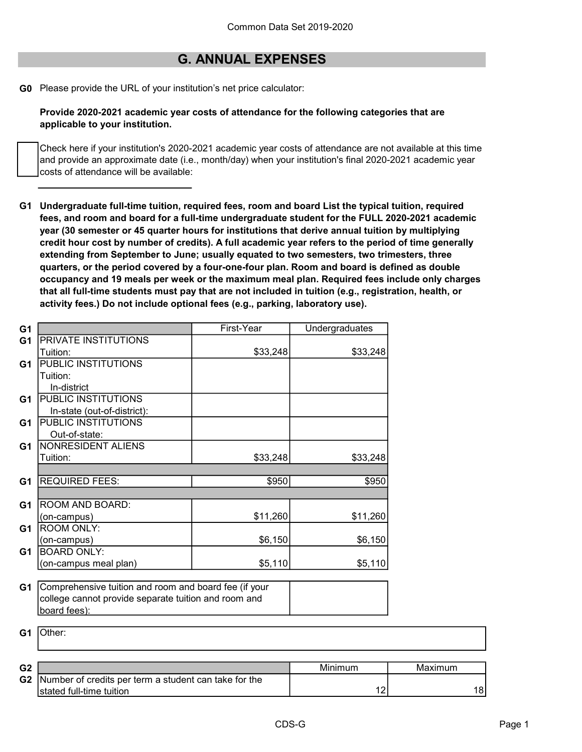## G. ANNUAL EXPENSES

G0 Please provide the URL of your institution's net price calculator:

Provide 2020-2021 academic year costs of attendance for the following categories that are applicable to your institution.

Check here if your institution's 2020-2021 academic year costs of attendance are not available at this time and provide an approximate date (i.e., month/day) when your institution's final 2020-2021 academic year costs of attendance will be available:

G1 Undergraduate full-time tuition, required fees, room and board List the typical tuition, required fees, and room and board for a full-time undergraduate student for the FULL 2020-2021 academic year (30 semester or 45 quarter hours for institutions that derive annual tuition by multiplying credit hour cost by number of credits). A full academic year refers to the period of time generally extending from September to June; usually equated to two semesters, two trimesters, three quarters, or the period covered by a four-one-four plan. Room and board is defined as double occupancy and 19 meals per week or the maximum meal plan. Required fees include only charges that all full-time students must pay that are not included in tuition (e.g., registration, health, or activity fees.) Do not include optional fees (e.g., parking, laboratory use).

| G <sub>1</sub> |                                                       | First-Year | Undergraduates |
|----------------|-------------------------------------------------------|------------|----------------|
| G <sub>1</sub> | PRIVATE INSTITUTIONS                                  |            |                |
|                | Tuition:                                              | \$33,248   | \$33,248       |
| G1             | PUBLIC INSTITUTIONS                                   |            |                |
|                | Tuition:                                              |            |                |
|                | In-district                                           |            |                |
| G <sub>1</sub> | PUBLIC INSTITUTIONS                                   |            |                |
|                | In-state (out-of-district):                           |            |                |
| G <sub>1</sub> | PUBLIC INSTITUTIONS                                   |            |                |
|                | Out-of-state:                                         |            |                |
| G <sub>1</sub> | NONRESIDENT ALIENS                                    |            |                |
|                | Tuition:                                              | \$33,248   | \$33,248       |
|                |                                                       |            |                |
| G <sub>1</sub> | <b>REQUIRED FEES:</b>                                 | \$950      | \$950          |
|                |                                                       |            |                |
| G <sub>1</sub> | ROOM AND BOARD:                                       |            |                |
|                | (on-campus)                                           | \$11,260   | \$11,260       |
| G <sub>1</sub> | <b>ROOM ONLY:</b>                                     |            |                |
|                | (on-campus)                                           | \$6,150    | \$6,150        |
| G <sub>1</sub> | <b>BOARD ONLY:</b>                                    |            |                |
|                | (on-campus meal plan)                                 | \$5,110    | \$5,110        |
|                |                                                       |            |                |
| G <sub>1</sub> | Comprehensive tuition and room and board fee (if your |            |                |
|                | college cannot provide separate tuition and room and  |            |                |
|                | board fees):                                          |            |                |
| G <sub>1</sub> | Other:                                                |            |                |
|                |                                                       |            |                |
|                |                                                       |            |                |

| G <sub>2</sub> |                                                       | Minimum | Maxımum |
|----------------|-------------------------------------------------------|---------|---------|
| G2             | Number of credits per term a student can take for the |         |         |
|                | Istated full-time tuition                             |         | 18      |